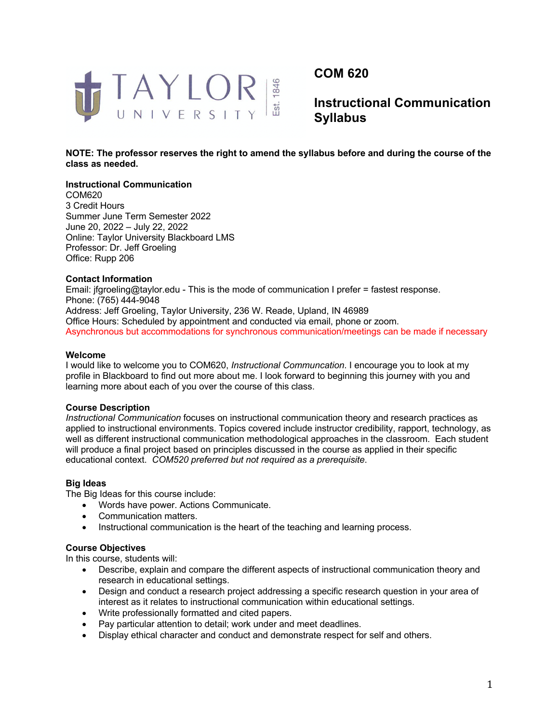

# **COM 620**

**Instructional Communication Syllabus**

# **NOTE: The professor reserves the right to amend the syllabus before and during the course of the class as needed.**

# **Instructional Communication**

COM620 3 Credit Hours Summer June Term Semester 2022 June 20, 2022 – July 22, 2022 Online: Taylor University Blackboard LMS Professor: Dr. Jeff Groeling Office: Rupp 206

# **Contact Information**

Email: jfgroeling@taylor.edu - This is the mode of communication I prefer = fastest response. Phone: (765) 444-9048 Address: Jeff Groeling, Taylor University, 236 W. Reade, Upland, IN 46989 Office Hours: Scheduled by appointment and conducted via email, phone or zoom. Asynchronous but accommodations for synchronous communication/meetings can be made if necessary

# **Welcome**

I would like to welcome you to COM620, *Instructional Communcation*. I encourage you to look at my profile in Blackboard to find out more about me. I look forward to beginning this journey with you and learning more about each of you over the course of this class.

### **Course Description**

*Instructional Communication* focuses on instructional communication theory and research practices as applied to instructional environments. Topics covered include instructor credibility, rapport, technology, as well as different instructional communication methodological approaches in the classroom. Each student will produce a final project based on principles discussed in the course as applied in their specific educational context. *COM520 preferred but not required as a prerequisite*.

### **Big Ideas**

The Big Ideas for this course include:

- Words have power. Actions Communicate.
- Communication matters.
- Instructional communication is the heart of the teaching and learning process.

### **Course Objectives**

In this course, students will:

- Describe, explain and compare the different aspects of instructional communication theory and research in educational settings.
- Design and conduct a research project addressing a specific research question in your area of interest as it relates to instructional communication within educational settings.
- Write professionally formatted and cited papers.
- Pay particular attention to detail; work under and meet deadlines.
- Display ethical character and conduct and demonstrate respect for self and others.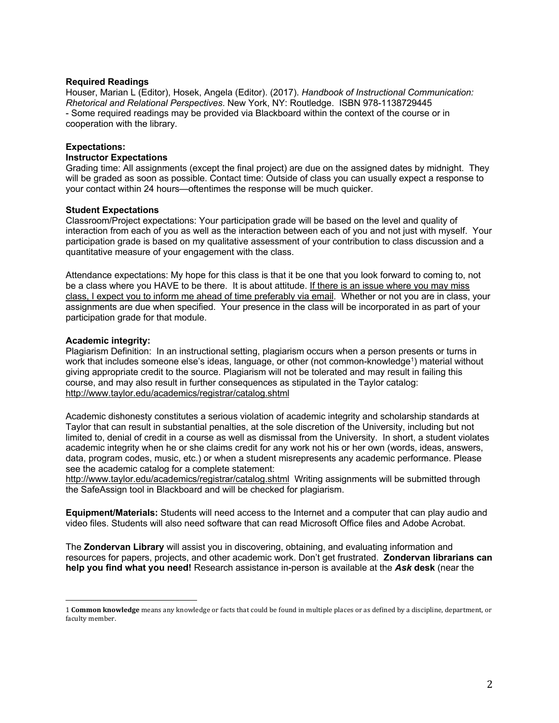### **Required Readings**

Houser, Marian L (Editor), Hosek, Angela (Editor). (2017). *Handbook of Instructional Communication: Rhetorical and Relational Perspectives*. New York, NY: Routledge. ISBN 978-1138729445 - Some required readings may be provided via Blackboard within the context of the course or in cooperation with the library.

### **Expectations:**

# **Instructor Expectations**

Grading time: All assignments (except the final project) are due on the assigned dates by midnight. They will be graded as soon as possible. Contact time: Outside of class you can usually expect a response to your contact within 24 hours—oftentimes the response will be much quicker.

### **Student Expectations**

Classroom/Project expectations: Your participation grade will be based on the level and quality of interaction from each of you as well as the interaction between each of you and not just with myself. Your participation grade is based on my qualitative assessment of your contribution to class discussion and a quantitative measure of your engagement with the class.

Attendance expectations: My hope for this class is that it be one that you look forward to coming to, not be a class where you HAVE to be there. It is about attitude. If there is an issue where you may miss class, I expect you to inform me ahead of time preferably via email. Whether or not you are in class, your assignments are due when specified. Your presence in the class will be incorporated in as part of your participation grade for that module.

# **Academic integrity:**

Plagiarism Definition: In an instructional setting, plagiarism occurs when a person presents or turns in work that includes someone else's ideas, language, or other (not common-knowledge<sup>1</sup>) material without giving appropriate credit to the source. Plagiarism will not be tolerated and may result in failing this course, and may also result in further consequences as stipulated in the Taylor catalog: http://www.taylor.edu/academics/registrar/catalog.shtml

Academic dishonesty constitutes a serious violation of academic integrity and scholarship standards at Taylor that can result in substantial penalties, at the sole discretion of the University, including but not limited to, denial of credit in a course as well as dismissal from the University. In short, a student violates academic integrity when he or she claims credit for any work not his or her own (words, ideas, answers, data, program codes, music, etc.) or when a student misrepresents any academic performance. Please see the academic catalog for a complete statement:

http://www.taylor.edu/academics/registrar/catalog.shtml Writing assignments will be submitted through the SafeAssign tool in Blackboard and will be checked for plagiarism.

**Equipment/Materials:** Students will need access to the Internet and a computer that can play audio and video files. Students will also need software that can read Microsoft Office files and Adobe Acrobat.

The **Zondervan Library** will assist you in discovering, obtaining, and evaluating information and resources for papers, projects, and other academic work. Don't get frustrated. **Zondervan librarians can help you find what you need!** Research assistance in-person is available at the *Ask* **desk** (near the

<sup>1</sup> **Common knowledge** means any knowledge or facts that could be found in multiple places or as defined by a discipline, department, or faculty member.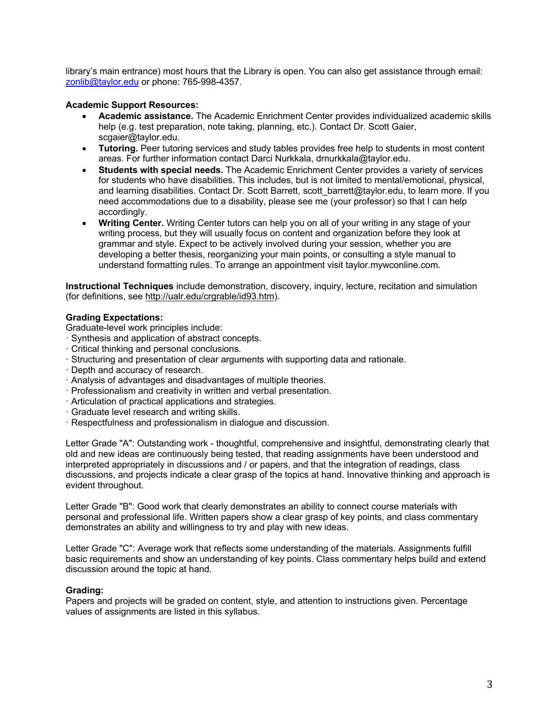library's main entrance) most hours that the Library is open. You can also get assistance through email: zonlib@taylor.edu or phone: 765-998-4357.

# **Academic Support Resources:**

- **Academic assistance.** The Academic Enrichment Center provides individualized academic skills help (e.g. test preparation, note taking, planning, etc.). Contact Dr. Scott Gaier, scgaier@taylor.edu.
- **Tutoring.** Peer tutoring services and study tables provides free help to students in most content areas. For further information contact Darci Nurkkala, drnurkkala@taylor.edu.
- **Students with special needs.** The Academic Enrichment Center provides a variety of services for students who have disabilities. This includes, but is not limited to mental/emotional, physical, and learning disabilities. Contact Dr. Scott Barrett, scott barrett@taylor.edu, to learn more. If you need accommodations due to a disability, please see me (your professor) so that I can help accordingly.
- **Writing Center.** Writing Center tutors can help you on all of your writing in any stage of your writing process, but they will usually focus on content and organization before they look at grammar and style. Expect to be actively involved during your session, whether you are developing a better thesis, reorganizing your main points, or consulting a style manual to understand formatting rules. To arrange an appointment visit taylor.mywconline.com.

**Instructional Techniques** include demonstration, discovery, inquiry, lecture, recitation and simulation (for definitions, see http://ualr.edu/crgrable/id93.htm).

# **Grading Expectations:**

- Graduate-level work principles include:
- · Synthesis and application of abstract concepts.
- · Critical thinking and personal conclusions.
- · Structuring and presentation of clear arguments with supporting data and rationale.
- · Depth and accuracy of research.
- · Analysis of advantages and disadvantages of multiple theories.
- · Professionalism and creativity in written and verbal presentation.
- · Articulation of practical applications and strategies.
- · Graduate level research and writing skills.
- · Respectfulness and professionalism in dialogue and discussion.

Letter Grade "A": Outstanding work - thoughtful, comprehensive and insightful, demonstrating clearly that old and new ideas are continuously being tested, that reading assignments have been understood and interpreted appropriately in discussions and / or papers, and that the integration of readings, class discussions, and projects indicate a clear grasp of the topics at hand. Innovative thinking and approach is evident throughout.

Letter Grade "B": Good work that clearly demonstrates an ability to connect course materials with personal and professional life. Written papers show a clear grasp of key points, and class commentary demonstrates an ability and willingness to try and play with new ideas.

Letter Grade "C": Average work that reflects some understanding of the materials. Assignments fulfill basic requirements and show an understanding of key points. Class commentary helps build and extend discussion around the topic at hand.

### **Grading:**

Papers and projects will be graded on content, style, and attention to instructions given. Percentage values of assignments are listed in this syllabus.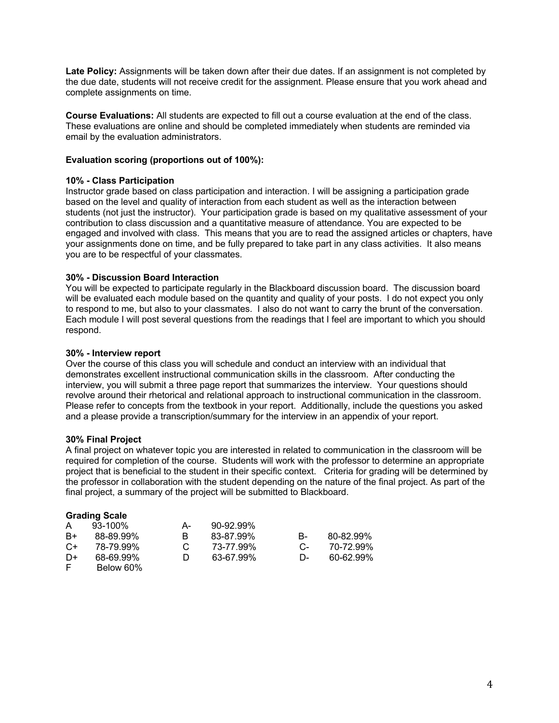**Late Policy:** Assignments will be taken down after their due dates. If an assignment is not completed by the due date, students will not receive credit for the assignment. Please ensure that you work ahead and complete assignments on time.

**Course Evaluations:** All students are expected to fill out a course evaluation at the end of the class. These evaluations are online and should be completed immediately when students are reminded via email by the evaluation administrators.

# **Evaluation scoring (proportions out of 100%):**

# **10% - Class Participation**

Instructor grade based on class participation and interaction. I will be assigning a participation grade based on the level and quality of interaction from each student as well as the interaction between students (not just the instructor). Your participation grade is based on my qualitative assessment of your contribution to class discussion and a quantitative measure of attendance. You are expected to be engaged and involved with class. This means that you are to read the assigned articles or chapters, have your assignments done on time, and be fully prepared to take part in any class activities. It also means you are to be respectful of your classmates.

# **30% - Discussion Board Interaction**

You will be expected to participate regularly in the Blackboard discussion board. The discussion board will be evaluated each module based on the quantity and quality of your posts. I do not expect you only to respond to me, but also to your classmates. I also do not want to carry the brunt of the conversation. Each module I will post several questions from the readings that I feel are important to which you should respond.

# **30% - Interview report**

Over the course of this class you will schedule and conduct an interview with an individual that demonstrates excellent instructional communication skills in the classroom. After conducting the interview, you will submit a three page report that summarizes the interview. Your questions should revolve around their rhetorical and relational approach to instructional communication in the classroom. Please refer to concepts from the textbook in your report. Additionally, include the questions you asked and a please provide a transcription/summary for the interview in an appendix of your report.

# **30% Final Project**

A final project on whatever topic you are interested in related to communication in the classroom will be required for completion of the course. Students will work with the professor to determine an appropriate project that is beneficial to the student in their specific context. Criteria for grading will be determined by the professor in collaboration with the student depending on the nature of the final project. As part of the final project, a summary of the project will be submitted to Blackboard.

### **Grading Scale**

| A    | 93-100%   | А- | $90 - 92.99\%$ |    |           |
|------|-----------|----|----------------|----|-----------|
| B+   | 88-89.99% | в  | 83-87.99%      | B- | 80-82.99% |
| $C+$ | 78-79.99% |    | 73-77.99%      | C- | 70-72.99% |
| D+   | 68-69.99% | Ð  | 63-67.99%      | D- | 60-62.99% |
| F.   | Below 60% |    |                |    |           |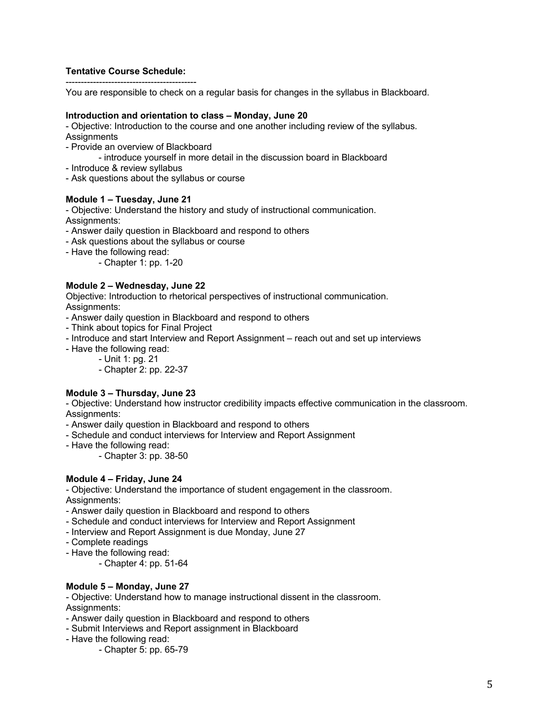### **Tentative Course Schedule:** -------------------------------------------

You are responsible to check on a regular basis for changes in the syllabus in Blackboard.

#### **Introduction and orientation to class – Monday, June 20**

- Objective: Introduction to the course and one another including review of the syllabus. **Assignments** 

- Provide an overview of Blackboard

- introduce yourself in more detail in the discussion board in Blackboard
- Introduce & review syllabus
- Ask questions about the syllabus or course

#### **Module 1 – Tuesday, June 21**

- Objective: Understand the history and study of instructional communication.

Assignments:

- Answer daily question in Blackboard and respond to others

- Ask questions about the syllabus or course

- Have the following read:

- Chapter 1: pp. 1-20

### **Module 2 – Wednesday, June 22**

Objective: Introduction to rhetorical perspectives of instructional communication.

Assignments:

- Answer daily question in Blackboard and respond to others
- Think about topics for Final Project
- Introduce and start Interview and Report Assignment reach out and set up interviews
- Have the following read:
	- Unit 1: pg. 21
	- Chapter 2: pp. 22-37

### **Module 3 – Thursday, June 23**

- Objective: Understand how instructor credibility impacts effective communication in the classroom. Assignments:

- Answer daily question in Blackboard and respond to others

- Schedule and conduct interviews for Interview and Report Assignment
- Have the following read:
	- Chapter 3: pp. 38-50

### **Module 4 – Friday, June 24**

- Objective: Understand the importance of student engagement in the classroom. Assignments:

- Answer daily question in Blackboard and respond to others
- Schedule and conduct interviews for Interview and Report Assignment
- Interview and Report Assignment is due Monday, June 27
- Complete readings
- Have the following read:

- Chapter 4: pp. 51-64

### **Module 5 – Monday, June 27**

- Objective: Understand how to manage instructional dissent in the classroom. Assignments:

- Answer daily question in Blackboard and respond to others
- Submit Interviews and Report assignment in Blackboard
- Have the following read:
	- Chapter 5: pp. 65-79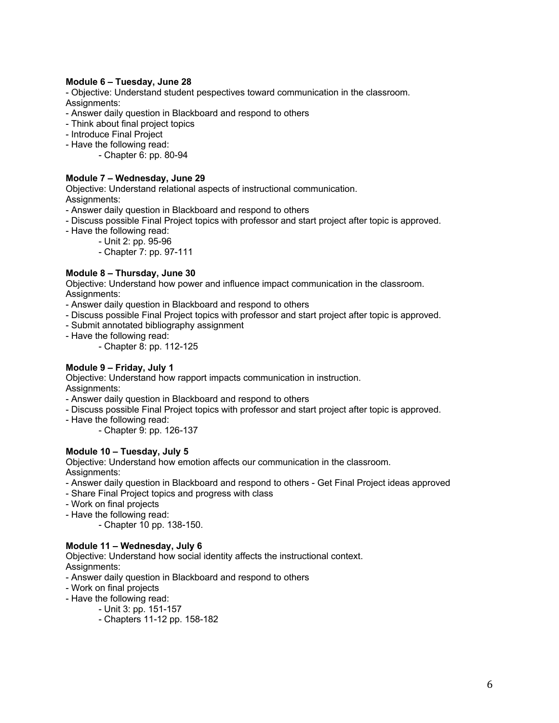# **Module 6 – Tuesday, June 28**

- Objective: Understand student pespectives toward communication in the classroom. Assignments:

- Answer daily question in Blackboard and respond to others
- Think about final project topics
- Introduce Final Project
- Have the following read:
	- Chapter 6: pp. 80-94

# **Module 7 – Wednesday, June 29**

Objective: Understand relational aspects of instructional communication. Assignments:

- Answer daily question in Blackboard and respond to others
- Discuss possible Final Project topics with professor and start project after topic is approved.
- Have the following read:
	- Unit 2: pp. 95-96
	- Chapter 7: pp. 97-111

# **Module 8 – Thursday, June 30**

Objective: Understand how power and influence impact communication in the classroom. Assignments:

- Answer daily question in Blackboard and respond to others
- Discuss possible Final Project topics with professor and start project after topic is approved.
- Submit annotated bibliography assignment
- Have the following read:
	- Chapter 8: pp. 112-125

### **Module 9 – Friday, July 1**

Objective: Understand how rapport impacts communication in instruction. Assignments:

- Answer daily question in Blackboard and respond to others
- Discuss possible Final Project topics with professor and start project after topic is approved.
- Have the following read:
	- Chapter 9: pp. 126-137

### **Module 10 – Tuesday, July 5**

Objective: Understand how emotion affects our communication in the classroom. Assignments:

- Answer daily question in Blackboard and respond to others Get Final Project ideas approved
- Share Final Project topics and progress with class
- Work on final projects
- Have the following read:
	- Chapter 10 pp. 138-150.

### **Module 11 – Wednesday, July 6**

Objective: Understand how social identity affects the instructional context. Assignments:

- Answer daily question in Blackboard and respond to others
- Work on final projects
- Have the following read:
	- Unit 3: pp. 151-157
	- Chapters 11-12 pp. 158-182